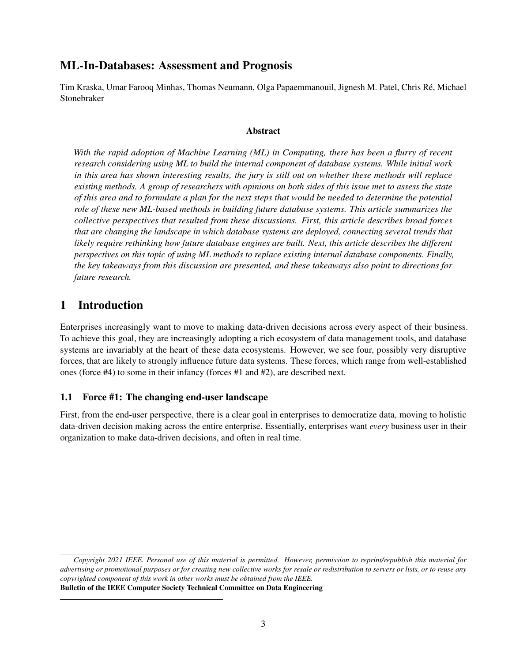# ML-In-Databases: Assessment and Prognosis

Tim Kraska, Umar Farooq Minhas, Thomas Neumann, Olga Papaemmanouil, Jignesh M. Patel, Chris Ré, Michael Stonebraker

### Abstract

*With the rapid adoption of Machine Learning (ML) in Computing, there has been a flurry of recent research considering using ML to build the internal component of database systems. While initial work in this area has shown interesting results, the jury is still out on whether these methods will replace existing methods. A group of researchers with opinions on both sides of this issue met to assess the state of this area and to formulate a plan for the next steps that would be needed to determine the potential role of these new ML-based methods in building future database systems. This article summarizes the collective perspectives that resulted from these discussions. First, this article describes broad forces that are changing the landscape in which database systems are deployed, connecting several trends that likely require rethinking how future database engines are built. Next, this article describes the different perspectives on this topic of using ML methods to replace existing internal database components. Finally, the key takeaways from this discussion are presented, and these takeaways also point to directions for future research.*

# 1 Introduction

Enterprises increasingly want to move to making data-driven decisions across every aspect of their business. To achieve this goal, they are increasingly adopting a rich ecosystem of data management tools, and database systems are invariably at the heart of these data ecosystems. However, we see four, possibly very disruptive forces, that are likely to strongly influence future data systems. These forces, which range from well-established ones (force #4) to some in their infancy (forces #1 and #2), are described next.

### 1.1 Force #1: The changing end-user landscape

First, from the end-user perspective, there is a clear goal in enterprises to democratize data, moving to holistic data-driven decision making across the entire enterprise. Essentially, enterprises want *every* business user in their organization to make data-driven decisions, and often in real time.

*Copyright 2021 IEEE. Personal use of this material is permitted. However, permission to reprint/republish this material for advertising or promotional purposes or for creating new collective works for resale or redistribution to servers or lists, or to reuse any copyrighted component of this work in other works must be obtained from the IEEE.* Bulletin of the IEEE Computer Society Technical Committee on Data Engineering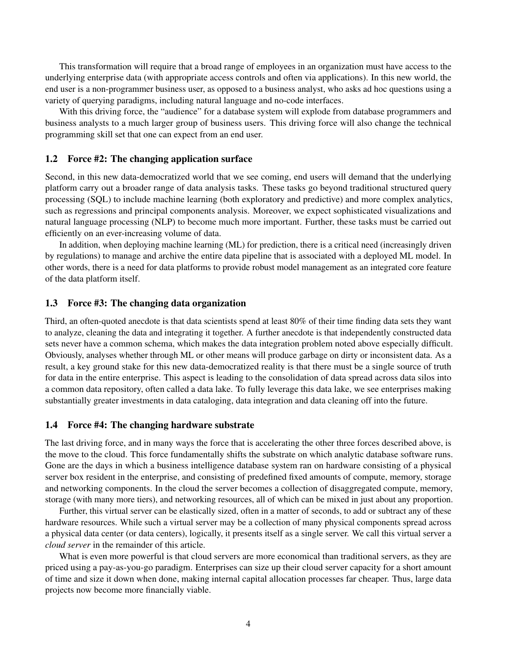This transformation will require that a broad range of employees in an organization must have access to the underlying enterprise data (with appropriate access controls and often via applications). In this new world, the end user is a non-programmer business user, as opposed to a business analyst, who asks ad hoc questions using a variety of querying paradigms, including natural language and no-code interfaces.

With this driving force, the "audience" for a database system will explode from database programmers and business analysts to a much larger group of business users. This driving force will also change the technical programming skill set that one can expect from an end user.

#### 1.2 Force #2: The changing application surface

Second, in this new data-democratized world that we see coming, end users will demand that the underlying platform carry out a broader range of data analysis tasks. These tasks go beyond traditional structured query processing (SQL) to include machine learning (both exploratory and predictive) and more complex analytics, such as regressions and principal components analysis. Moreover, we expect sophisticated visualizations and natural language processing (NLP) to become much more important. Further, these tasks must be carried out efficiently on an ever-increasing volume of data.

In addition, when deploying machine learning (ML) for prediction, there is a critical need (increasingly driven by regulations) to manage and archive the entire data pipeline that is associated with a deployed ML model. In other words, there is a need for data platforms to provide robust model management as an integrated core feature of the data platform itself.

### 1.3 Force #3: The changing data organization

Third, an often-quoted anecdote is that data scientists spend at least 80% of their time finding data sets they want to analyze, cleaning the data and integrating it together. A further anecdote is that independently constructed data sets never have a common schema, which makes the data integration problem noted above especially difficult. Obviously, analyses whether through ML or other means will produce garbage on dirty or inconsistent data. As a result, a key ground stake for this new data-democratized reality is that there must be a single source of truth for data in the entire enterprise. This aspect is leading to the consolidation of data spread across data silos into a common data repository, often called a data lake. To fully leverage this data lake, we see enterprises making substantially greater investments in data cataloging, data integration and data cleaning off into the future.

#### 1.4 Force #4: The changing hardware substrate

The last driving force, and in many ways the force that is accelerating the other three forces described above, is the move to the cloud. This force fundamentally shifts the substrate on which analytic database software runs. Gone are the days in which a business intelligence database system ran on hardware consisting of a physical server box resident in the enterprise, and consisting of predefined fixed amounts of compute, memory, storage and networking components. In the cloud the server becomes a collection of disaggregated compute, memory, storage (with many more tiers), and networking resources, all of which can be mixed in just about any proportion.

Further, this virtual server can be elastically sized, often in a matter of seconds, to add or subtract any of these hardware resources. While such a virtual server may be a collection of many physical components spread across a physical data center (or data centers), logically, it presents itself as a single server. We call this virtual server a *cloud server* in the remainder of this article.

What is even more powerful is that cloud servers are more economical than traditional servers, as they are priced using a pay-as-you-go paradigm. Enterprises can size up their cloud server capacity for a short amount of time and size it down when done, making internal capital allocation processes far cheaper. Thus, large data projects now become more financially viable.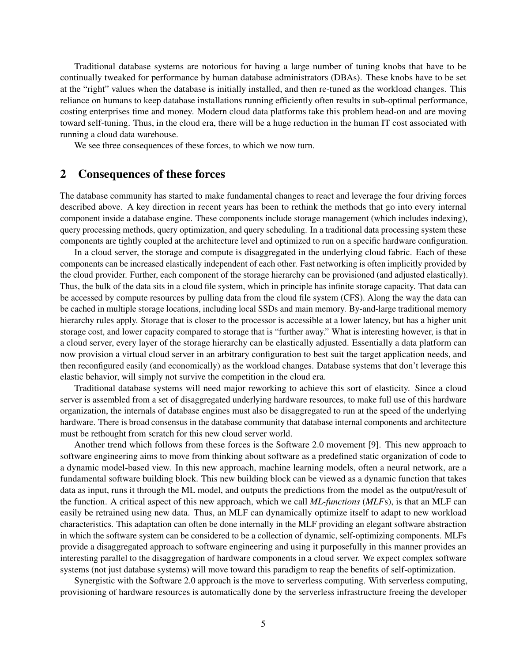Traditional database systems are notorious for having a large number of tuning knobs that have to be continually tweaked for performance by human database administrators (DBAs). These knobs have to be set at the "right" values when the database is initially installed, and then re-tuned as the workload changes. This reliance on humans to keep database installations running efficiently often results in sub-optimal performance, costing enterprises time and money. Modern cloud data platforms take this problem head-on and are moving toward self-tuning. Thus, in the cloud era, there will be a huge reduction in the human IT cost associated with running a cloud data warehouse.

We see three consequences of these forces, to which we now turn.

### 2 Consequences of these forces

The database community has started to make fundamental changes to react and leverage the four driving forces described above. A key direction in recent years has been to rethink the methods that go into every internal component inside a database engine. These components include storage management (which includes indexing), query processing methods, query optimization, and query scheduling. In a traditional data processing system these components are tightly coupled at the architecture level and optimized to run on a specific hardware configuration.

In a cloud server, the storage and compute is disaggregated in the underlying cloud fabric. Each of these components can be increased elastically independent of each other. Fast networking is often implicitly provided by the cloud provider. Further, each component of the storage hierarchy can be provisioned (and adjusted elastically). Thus, the bulk of the data sits in a cloud file system, which in principle has infinite storage capacity. That data can be accessed by compute resources by pulling data from the cloud file system (CFS). Along the way the data can be cached in multiple storage locations, including local SSDs and main memory. By-and-large traditional memory hierarchy rules apply. Storage that is closer to the processor is accessible at a lower latency, but has a higher unit storage cost, and lower capacity compared to storage that is "further away." What is interesting however, is that in a cloud server, every layer of the storage hierarchy can be elastically adjusted. Essentially a data platform can now provision a virtual cloud server in an arbitrary configuration to best suit the target application needs, and then reconfigured easily (and economically) as the workload changes. Database systems that don't leverage this elastic behavior, will simply not survive the competition in the cloud era.

Traditional database systems will need major reworking to achieve this sort of elasticity. Since a cloud server is assembled from a set of disaggregated underlying hardware resources, to make full use of this hardware organization, the internals of database engines must also be disaggregated to run at the speed of the underlying hardware. There is broad consensus in the database community that database internal components and architecture must be rethought from scratch for this new cloud server world.

Another trend which follows from these forces is the Software 2.0 movement [9]. This new approach to software engineering aims to move from thinking about software as a predefined static organization of code to a dynamic model-based view. In this new approach, machine learning models, often a neural network, are a fundamental software building block. This new building block can be viewed as a dynamic function that takes data as input, runs it through the ML model, and outputs the predictions from the model as the output/result of the function. A critical aspect of this new approach, which we call *ML-functions* (*MLF*s), is that an MLF can easily be retrained using new data. Thus, an MLF can dynamically optimize itself to adapt to new workload characteristics. This adaptation can often be done internally in the MLF providing an elegant software abstraction in which the software system can be considered to be a collection of dynamic, self-optimizing components. MLFs provide a disaggregated approach to software engineering and using it purposefully in this manner provides an interesting parallel to the disaggregation of hardware components in a cloud server. We expect complex software systems (not just database systems) will move toward this paradigm to reap the benefits of self-optimization.

Synergistic with the Software 2.0 approach is the move to serverless computing. With serverless computing, provisioning of hardware resources is automatically done by the serverless infrastructure freeing the developer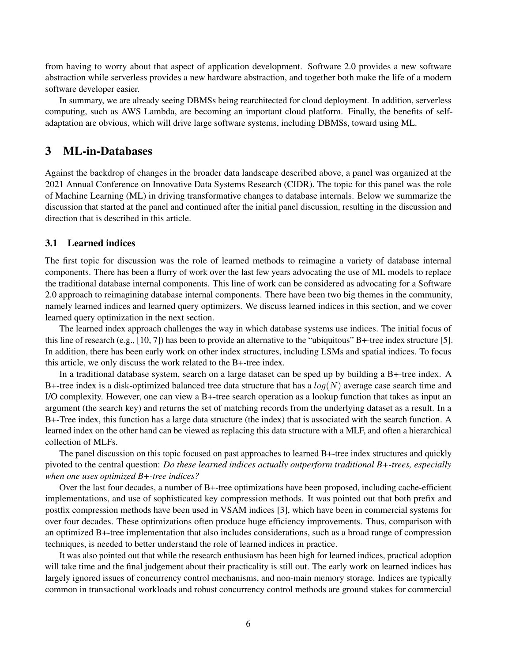from having to worry about that aspect of application development. Software 2.0 provides a new software abstraction while serverless provides a new hardware abstraction, and together both make the life of a modern software developer easier.

In summary, we are already seeing DBMSs being rearchitected for cloud deployment. In addition, serverless computing, such as AWS Lambda, are becoming an important cloud platform. Finally, the benefits of selfadaptation are obvious, which will drive large software systems, including DBMSs, toward using ML.

## 3 ML-in-Databases

Against the backdrop of changes in the broader data landscape described above, a panel was organized at the 2021 Annual Conference on Innovative Data Systems Research (CIDR). The topic for this panel was the role of Machine Learning (ML) in driving transformative changes to database internals. Below we summarize the discussion that started at the panel and continued after the initial panel discussion, resulting in the discussion and direction that is described in this article.

### 3.1 Learned indices

The first topic for discussion was the role of learned methods to reimagine a variety of database internal components. There has been a flurry of work over the last few years advocating the use of ML models to replace the traditional database internal components. This line of work can be considered as advocating for a Software 2.0 approach to reimagining database internal components. There have been two big themes in the community, namely learned indices and learned query optimizers. We discuss learned indices in this section, and we cover learned query optimization in the next section.

The learned index approach challenges the way in which database systems use indices. The initial focus of this line of research (e.g., [10, 7]) has been to provide an alternative to the "ubiquitous" B+-tree index structure [5]. In addition, there has been early work on other index structures, including LSMs and spatial indices. To focus this article, we only discuss the work related to the B+-tree index.

In a traditional database system, search on a large dataset can be sped up by building a B+-tree index. A B+-tree index is a disk-optimized balanced tree data structure that has a  $log(N)$  average case search time and I/O complexity. However, one can view a B+-tree search operation as a lookup function that takes as input an argument (the search key) and returns the set of matching records from the underlying dataset as a result. In a B+-Tree index, this function has a large data structure (the index) that is associated with the search function. A learned index on the other hand can be viewed as replacing this data structure with a MLF, and often a hierarchical collection of MLFs.

The panel discussion on this topic focused on past approaches to learned B+-tree index structures and quickly pivoted to the central question: *Do these learned indices actually outperform traditional B+-trees, especially when one uses optimized B+-tree indices?*

Over the last four decades, a number of B+-tree optimizations have been proposed, including cache-efficient implementations, and use of sophisticated key compression methods. It was pointed out that both prefix and postfix compression methods have been used in VSAM indices [3], which have been in commercial systems for over four decades. These optimizations often produce huge efficiency improvements. Thus, comparison with an optimized B+-tree implementation that also includes considerations, such as a broad range of compression techniques, is needed to better understand the role of learned indices in practice.

It was also pointed out that while the research enthusiasm has been high for learned indices, practical adoption will take time and the final judgement about their practicality is still out. The early work on learned indices has largely ignored issues of concurrency control mechanisms, and non-main memory storage. Indices are typically common in transactional workloads and robust concurrency control methods are ground stakes for commercial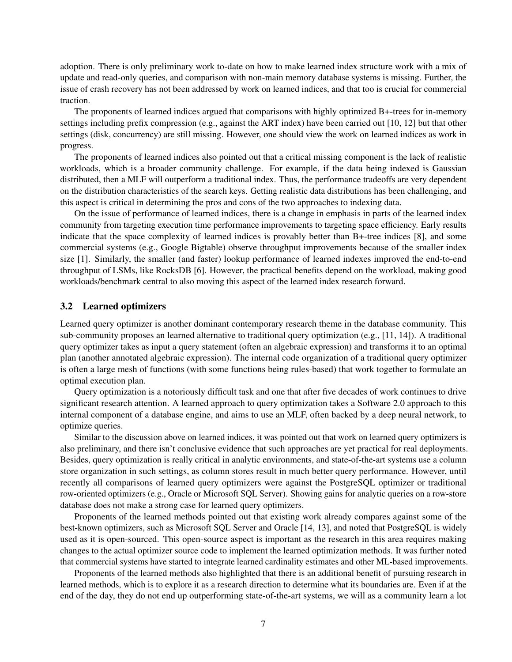adoption. There is only preliminary work to-date on how to make learned index structure work with a mix of update and read-only queries, and comparison with non-main memory database systems is missing. Further, the issue of crash recovery has not been addressed by work on learned indices, and that too is crucial for commercial traction.

The proponents of learned indices argued that comparisons with highly optimized B+-trees for in-memory settings including prefix compression (e.g., against the ART index) have been carried out [10, 12] but that other settings (disk, concurrency) are still missing. However, one should view the work on learned indices as work in progress.

The proponents of learned indices also pointed out that a critical missing component is the lack of realistic workloads, which is a broader community challenge. For example, if the data being indexed is Gaussian distributed, then a MLF will outperform a traditional index. Thus, the performance tradeoffs are very dependent on the distribution characteristics of the search keys. Getting realistic data distributions has been challenging, and this aspect is critical in determining the pros and cons of the two approaches to indexing data.

On the issue of performance of learned indices, there is a change in emphasis in parts of the learned index community from targeting execution time performance improvements to targeting space efficiency. Early results indicate that the space complexity of learned indices is provably better than B+-tree indices [8], and some commercial systems (e.g., Google Bigtable) observe throughput improvements because of the smaller index size [1]. Similarly, the smaller (and faster) lookup performance of learned indexes improved the end-to-end throughput of LSMs, like RocksDB [6]. However, the practical benefits depend on the workload, making good workloads/benchmark central to also moving this aspect of the learned index research forward.

#### 3.2 Learned optimizers

Learned query optimizer is another dominant contemporary research theme in the database community. This sub-community proposes an learned alternative to traditional query optimization (e.g., [11, 14]). A traditional query optimizer takes as input a query statement (often an algebraic expression) and transforms it to an optimal plan (another annotated algebraic expression). The internal code organization of a traditional query optimizer is often a large mesh of functions (with some functions being rules-based) that work together to formulate an optimal execution plan.

Query optimization is a notoriously difficult task and one that after five decades of work continues to drive significant research attention. A learned approach to query optimization takes a Software 2.0 approach to this internal component of a database engine, and aims to use an MLF, often backed by a deep neural network, to optimize queries.

Similar to the discussion above on learned indices, it was pointed out that work on learned query optimizers is also preliminary, and there isn't conclusive evidence that such approaches are yet practical for real deployments. Besides, query optimization is really critical in analytic environments, and state-of-the-art systems use a column store organization in such settings, as column stores result in much better query performance. However, until recently all comparisons of learned query optimizers were against the PostgreSQL optimizer or traditional row-oriented optimizers (e.g., Oracle or Microsoft SQL Server). Showing gains for analytic queries on a row-store database does not make a strong case for learned query optimizers.

Proponents of the learned methods pointed out that existing work already compares against some of the best-known optimizers, such as Microsoft SQL Server and Oracle [14, 13], and noted that PostgreSQL is widely used as it is open-sourced. This open-source aspect is important as the research in this area requires making changes to the actual optimizer source code to implement the learned optimization methods. It was further noted that commercial systems have started to integrate learned cardinality estimates and other ML-based improvements.

Proponents of the learned methods also highlighted that there is an additional benefit of pursuing research in learned methods, which is to explore it as a research direction to determine what its boundaries are. Even if at the end of the day, they do not end up outperforming state-of-the-art systems, we will as a community learn a lot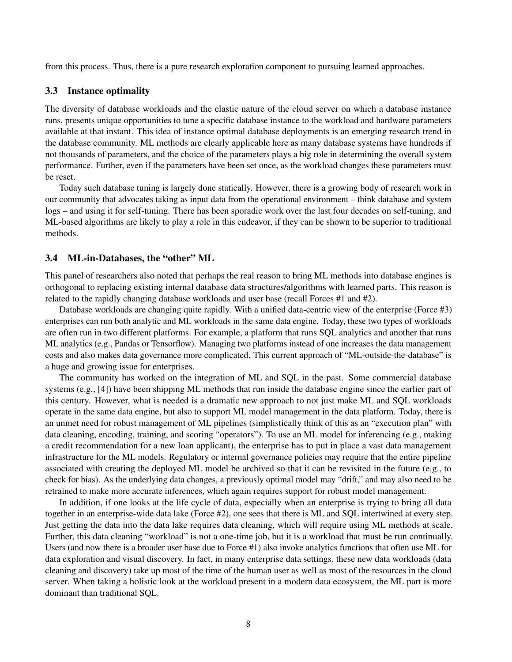from this process. Thus, there is a pure research exploration component to pursuing learned approaches.

#### 3.3 Instance optimality

The diversity of database workloads and the elastic nature of the cloud server on which a database instance runs, presents unique opportunities to tune a specific database instance to the workload and hardware parameters available at that instant. This idea of instance optimal database deployments is an emerging research trend in the database community. ML methods are clearly applicable here as many database systems have hundreds if not thousands of parameters, and the choice of the parameters plays a big role in determining the overall system performance. Further, even if the parameters have been set once, as the workload changes these parameters must be reset.

Today such database tuning is largely done statically. However, there is a growing body of research work in our community that advocates taking as input data from the operational environment – think database and system logs – and using it for self-tuning. There has been sporadic work over the last four decades on self-tuning, and ML-based algorithms are likely to play a role in this endeavor, if they can be shown to be superior to traditional methods.

#### 3.4 ML-in-Databases, the "other" ML

This panel of researchers also noted that perhaps the real reason to bring ML methods into database engines is orthogonal to replacing existing internal database data structures/algorithms with learned parts. This reason is related to the rapidly changing database workloads and user base (recall Forces #1 and #2).

Database workloads are changing quite rapidly. With a unified data-centric view of the enterprise (Force #3) enterprises can run both analytic and ML workloads in the same data engine. Today, these two types of workloads are often run in two different platforms. For example, a platform that runs SQL analytics and another that runs ML analytics (e.g., Pandas or Tensorflow). Managing two platforms instead of one increases the data management costs and also makes data governance more complicated. This current approach of "ML-outside-the-database" is a huge and growing issue for enterprises.

The community has worked on the integration of ML and SQL in the past. Some commercial database systems (e.g., [4]) have been shipping ML methods that run inside the database engine since the earlier part of this century. However, what is needed is a dramatic new approach to not just make ML and SQL workloads operate in the same data engine, but also to support ML model management in the data platform. Today, there is an unmet need for robust management of ML pipelines (simplistically think of this as an "execution plan" with data cleaning, encoding, training, and scoring "operators"). To use an ML model for inferencing (e.g., making a credit recommendation for a new loan applicant), the enterprise has to put in place a vast data management infrastructure for the ML models. Regulatory or internal governance policies may require that the entire pipeline associated with creating the deployed ML model be archived so that it can be revisited in the future (e.g., to check for bias). As the underlying data changes, a previously optimal model may "drift," and may also need to be retrained to make more accurate inferences, which again requires support for robust model management.

In addition, if one looks at the life cycle of data, especially when an enterprise is trying to bring all data together in an enterprise-wide data lake (Force #2), one sees that there is ML and SQL intertwined at every step. Just getting the data into the data lake requires data cleaning, which will require using ML methods at scale. Further, this data cleaning "workload" is not a one-time job, but it is a workload that must be run continually. Users (and now there is a broader user base due to Force #1) also invoke analytics functions that often use ML for data exploration and visual discovery. In fact, in many enterprise data settings, these new data workloads (data cleaning and discovery) take up most of the time of the human user as well as most of the resources in the cloud server. When taking a holistic look at the workload present in a modern data ecosystem, the ML part is more dominant than traditional SQL.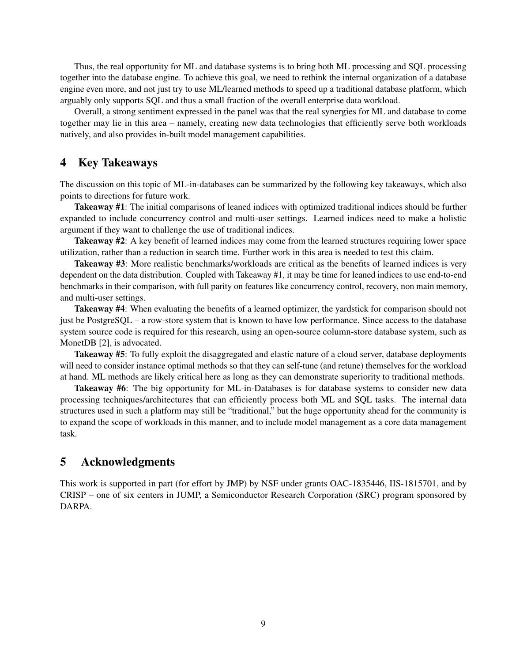Thus, the real opportunity for ML and database systems is to bring both ML processing and SQL processing together into the database engine. To achieve this goal, we need to rethink the internal organization of a database engine even more, and not just try to use ML/learned methods to speed up a traditional database platform, which arguably only supports SQL and thus a small fraction of the overall enterprise data workload.

Overall, a strong sentiment expressed in the panel was that the real synergies for ML and database to come together may lie in this area – namely, creating new data technologies that efficiently serve both workloads natively, and also provides in-built model management capabilities.

## 4 Key Takeaways

The discussion on this topic of ML-in-databases can be summarized by the following key takeaways, which also points to directions for future work.

Takeaway #1: The initial comparisons of leaned indices with optimized traditional indices should be further expanded to include concurrency control and multi-user settings. Learned indices need to make a holistic argument if they want to challenge the use of traditional indices.

**Takeaway #2:** A key benefit of learned indices may come from the learned structures requiring lower space utilization, rather than a reduction in search time. Further work in this area is needed to test this claim.

Takeaway #3: More realistic benchmarks/workloads are critical as the benefits of learned indices is very dependent on the data distribution. Coupled with Takeaway #1, it may be time for leaned indices to use end-to-end benchmarks in their comparison, with full parity on features like concurrency control, recovery, non main memory, and multi-user settings.

Takeaway #4: When evaluating the benefits of a learned optimizer, the yardstick for comparison should not just be PostgreSQL – a row-store system that is known to have low performance. Since access to the database system source code is required for this research, using an open-source column-store database system, such as MonetDB [2], is advocated.

Takeaway #5: To fully exploit the disaggregated and elastic nature of a cloud server, database deployments will need to consider instance optimal methods so that they can self-tune (and retune) themselves for the workload at hand. ML methods are likely critical here as long as they can demonstrate superiority to traditional methods.

Takeaway #6: The big opportunity for ML-in-Databases is for database systems to consider new data processing techniques/architectures that can efficiently process both ML and SQL tasks. The internal data structures used in such a platform may still be "traditional," but the huge opportunity ahead for the community is to expand the scope of workloads in this manner, and to include model management as a core data management task.

# 5 Acknowledgments

This work is supported in part (for effort by JMP) by NSF under grants OAC-1835446, IIS-1815701, and by CRISP – one of six centers in JUMP, a Semiconductor Research Corporation (SRC) program sponsored by DARPA.